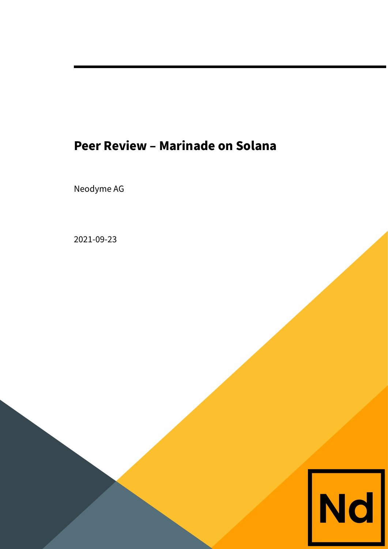# **Peer Review – Marinade on Solana**

Neodyme AG

2021-09-23

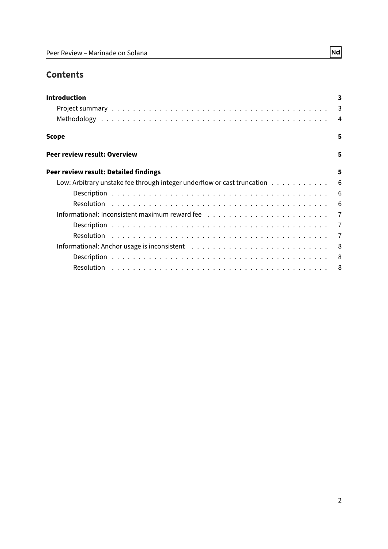# **Contents**

| <b>Introduction</b>                                                       | 3 |
|---------------------------------------------------------------------------|---|
|                                                                           |   |
|                                                                           |   |
| Scope                                                                     | 5 |
| Peer review result: Overview                                              | 5 |
| Peer review result: Detailed findings                                     | 5 |
| Low: Arbitrary unstake fee through integer underflow or cast truncation 6 |   |
|                                                                           |   |
|                                                                           |   |
|                                                                           |   |
|                                                                           |   |
|                                                                           |   |
|                                                                           |   |
|                                                                           |   |
|                                                                           |   |

 $\boxed{\mathsf{Nd}}$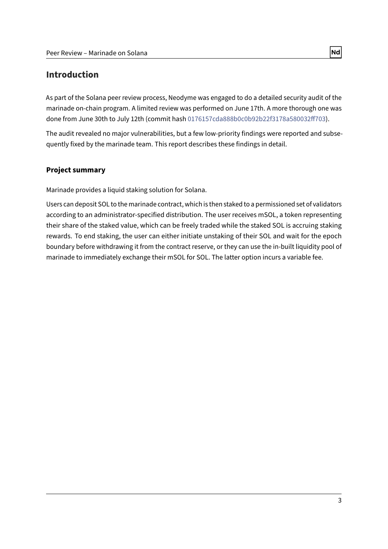# <span id="page-2-0"></span>**Introduction**

As part of the Solana peer review process, Neodyme was engaged to do a detailed security audit of the marinade on-chain program. A limited review was performed on June 17th. A more thorough one was done from June 30th to July 12th (commit hash 0176157cda888b0c0b92b22f3178a580032ff703).

The audit revealed no major vulnerabilities, but a few low-priority findings were reported and subsequently fixed by the marinade team. This report describes these findings in detail.

#### <span id="page-2-1"></span>**Project summary**

Marinade provides a liquid staking solution for Solana.

Users can deposit SOL to the marinade contract, which is then staked to a permissioned set of validators according to an administrator-specified distribution. The user receives mSOL, a token representing their share of the staked value, which can be freely traded while the staked SOL is accruing staking rewards. To end staking, the user can either initiate unstaking of their SOL and wait for the epoch boundary before withdrawing it from the contract reserve, or they can use the in-built liquidity pool of marinade to immediately exchange their mSOL for SOL. The latter option incurs a variable fee.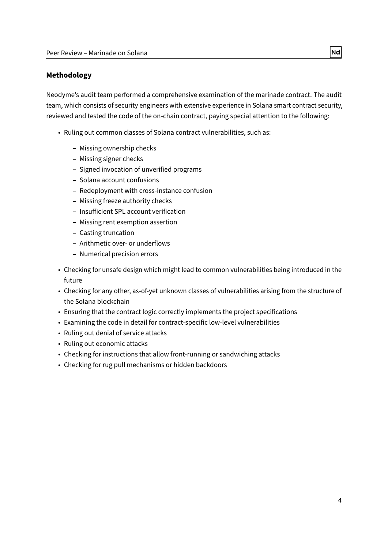#### <span id="page-3-0"></span>**Methodology**

Neodyme's audit team performed a comprehensive examination of the marinade contract. The audit team, which consists of security engineers with extensive experience in Solana smart contract security, reviewed and tested the code of the on-chain contract, paying special attention to the following:

- Ruling out common classes of Solana contract vulnerabilities, such as:
	- **–** Missing ownership checks
	- **–** Missing signer checks
	- **–** Signed invocation of unverified programs
	- **–** Solana account confusions
	- **–** Redeployment with cross-instance confusion
	- **–** Missing freeze authority checks
	- **-** Insufficient SPL account verification
	- **–** Missing rent exemption assertion
	- **–** Casting truncation
	- **–** Arithmetic over- or underflows
	- **–** Numerical precision errors
- Checking for unsafe design which might lead to common vulnerabilities being introduced in the future
- Checking for any other, as-of-yet unknown classes of vulnerabilities arising from the structure of the Solana blockchain
- Ensuring that the contract logic correctly implements the project specifications
- Examining the code in detail for contract-specific low-level vulnerabilities
- Ruling out denial of service attacks
- Ruling out economic attacks
- Checking for instructions that allow front-running or sandwiching attacks
- Checking for rug pull mechanisms or hidden backdoors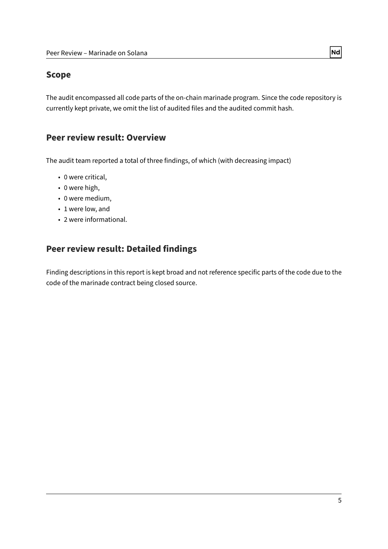### <span id="page-4-0"></span>**Scope**

The audit encompassed all code parts of the on-chain marinade program. Since the code repository is currently kept private, we omit the list of audited files and the audited commit hash.

### <span id="page-4-1"></span>**Peer review result: Overview**

The audit team reported a total of three findings, of which (with decreasing impact)

- 0 were critical,
- 0 were high,
- 0 were medium,
- 1 were low, and
- 2 were informational.

# <span id="page-4-2"></span>**Peer review result: Detailed findings**

Finding descriptions in this report is kept broad and not reference specific parts of the code due to the code of the marinade contract being closed source.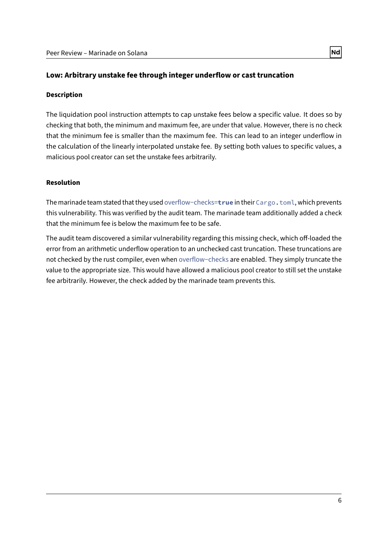#### <span id="page-5-0"></span>**Low: Arbitrary unstake fee through integer underflow or cast truncation**

#### <span id="page-5-1"></span>**Description**

The liquidation pool instruction attempts to cap unstake fees below a specific value. It does so by checking that both, the minimum and maximum fee, are under that value. However, there is no check that the minimum fee is smaller than the maximum fee. This can lead to an integer underflow in the calculation of the linearly interpolated unstake fee. By setting both values to specific values, a malicious pool creator can set the unstake fees arbitrarily.

#### <span id="page-5-2"></span>**Resolution**

The marinade team stated that they used overflow−checks=**true** in their Cargo.toml, which prevents this vulnerability. This was verified by the audit team. The marinade team additionally added a check that the minimum fee is below the maximum fee to be safe.

The audit team discovered a similar vulnerability regarding this missing check, which off-loaded the error from an arithmetic underflow operation to an unchecked cast truncation. These truncations are not checked by the rust compiler, even when overflow−checks are enabled. They simply truncate the value to the appropriate size. This would have allowed a malicious pool creator to still set the unstake fee arbitrarily. However, the check added by the marinade team prevents this.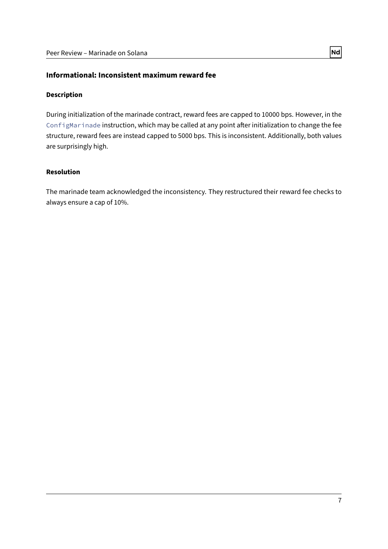#### <span id="page-6-0"></span>**Informational: Inconsistent maximum reward fee**

#### <span id="page-6-1"></span>**Description**

During initialization of the marinade contract, reward fees are capped to 10000 bps. However, in the ConfigMarinade instruction, which may be called at any point after initialization to change the fee structure, reward fees are instead capped to 5000 bps. This is inconsistent. Additionally, both values are surprisingly high.

#### <span id="page-6-2"></span>**Resolution**

The marinade team acknowledged the inconsistency. They restructured their reward fee checks to always ensure a cap of 10%.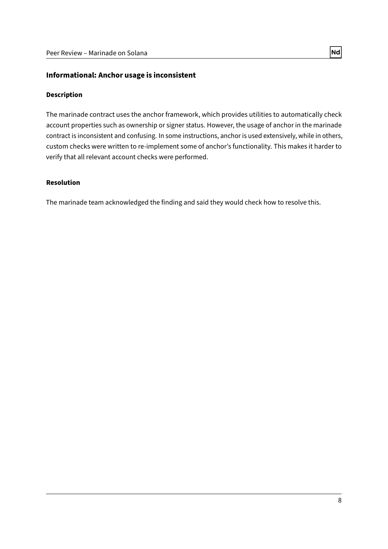#### <span id="page-7-0"></span>**Informational: Anchor usage is inconsistent**

#### <span id="page-7-1"></span>**Description**

The marinade contract uses the anchor framework, which provides utilities to automatically check account properties such as ownership or signer status. However, the usage of anchor in the marinade contract is inconsistent and confusing. In some instructions, anchor is used extensively, while in others, custom checks were written to re-implement some of anchor's functionality. This makes it harder to verify that all relevant account checks were performed.

#### <span id="page-7-2"></span>**Resolution**

The marinade team acknowledged the finding and said they would check how to resolve this.